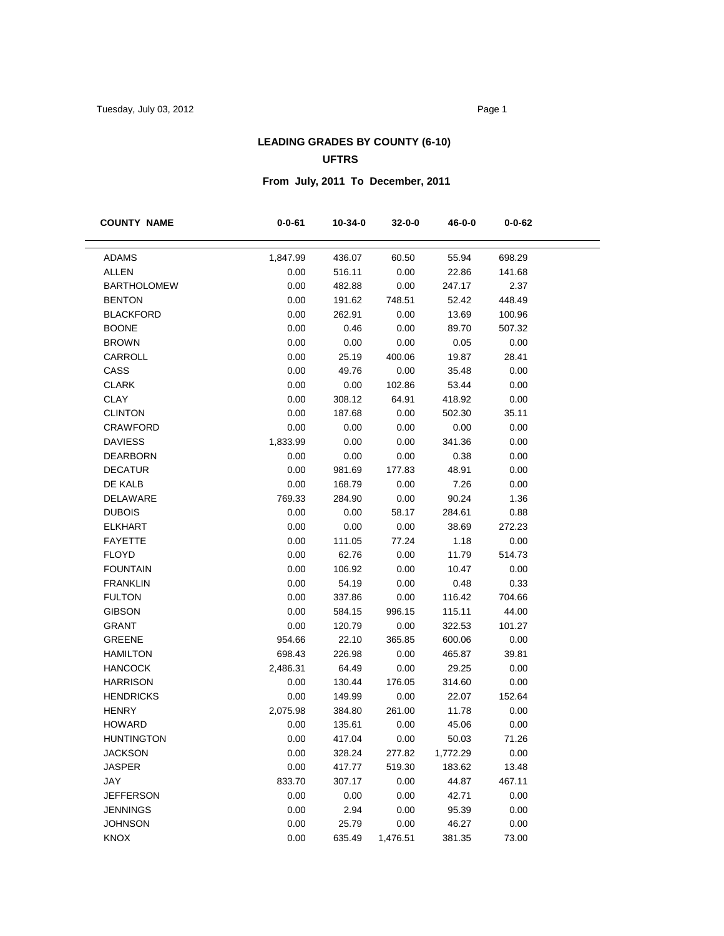# **LEADING GRADES BY COUNTY (6-10) UFTRS**

# **From July, 2011 To December, 2011**

| <b>COUNTY NAME</b> | $0 - 0 - 61$ | 10-34-0 | $32 - 0 - 0$ | 46-0-0   | $0 - 0 - 62$ |  |
|--------------------|--------------|---------|--------------|----------|--------------|--|
|                    |              |         |              |          |              |  |
| <b>ADAMS</b>       | 1,847.99     | 436.07  | 60.50        | 55.94    | 698.29       |  |
| <b>ALLEN</b>       | 0.00         | 516.11  | 0.00         | 22.86    | 141.68       |  |
| <b>BARTHOLOMEW</b> | 0.00         | 482.88  | 0.00         | 247.17   | 2.37         |  |
| <b>BENTON</b>      | 0.00         | 191.62  | 748.51       | 52.42    | 448.49       |  |
| <b>BLACKFORD</b>   | 0.00         | 262.91  | 0.00         | 13.69    | 100.96       |  |
| <b>BOONE</b>       | 0.00         | 0.46    | 0.00         | 89.70    | 507.32       |  |
| <b>BROWN</b>       | 0.00         | 0.00    | 0.00         | 0.05     | 0.00         |  |
| CARROLL            | 0.00         | 25.19   | 400.06       | 19.87    | 28.41        |  |
| CASS               | 0.00         | 49.76   | 0.00         | 35.48    | 0.00         |  |
| <b>CLARK</b>       | 0.00         | 0.00    | 102.86       | 53.44    | 0.00         |  |
| <b>CLAY</b>        | 0.00         | 308.12  | 64.91        | 418.92   | 0.00         |  |
| <b>CLINTON</b>     | 0.00         | 187.68  | 0.00         | 502.30   | 35.11        |  |
| <b>CRAWFORD</b>    | 0.00         | 0.00    | 0.00         | 0.00     | 0.00         |  |
| <b>DAVIESS</b>     | 1,833.99     | 0.00    | 0.00         | 341.36   | 0.00         |  |
| <b>DEARBORN</b>    | 0.00         | 0.00    | 0.00         | 0.38     | 0.00         |  |
| <b>DECATUR</b>     | 0.00         | 981.69  | 177.83       | 48.91    | 0.00         |  |
| DE KALB            | 0.00         | 168.79  | 0.00         | 7.26     | 0.00         |  |
| DELAWARE           | 769.33       | 284.90  | 0.00         | 90.24    | 1.36         |  |
| <b>DUBOIS</b>      | 0.00         | 0.00    | 58.17        | 284.61   | 0.88         |  |
| <b>ELKHART</b>     | 0.00         | 0.00    | 0.00         | 38.69    | 272.23       |  |
| <b>FAYETTE</b>     | 0.00         | 111.05  | 77.24        | 1.18     | 0.00         |  |
| <b>FLOYD</b>       | 0.00         | 62.76   | 0.00         | 11.79    | 514.73       |  |
| <b>FOUNTAIN</b>    | 0.00         | 106.92  | 0.00         | 10.47    | 0.00         |  |
| <b>FRANKLIN</b>    | 0.00         | 54.19   | 0.00         | 0.48     | 0.33         |  |
| <b>FULTON</b>      | 0.00         | 337.86  | 0.00         | 116.42   | 704.66       |  |
| <b>GIBSON</b>      | 0.00         | 584.15  | 996.15       | 115.11   | 44.00        |  |
| <b>GRANT</b>       | 0.00         | 120.79  | 0.00         | 322.53   | 101.27       |  |
| <b>GREENE</b>      | 954.66       | 22.10   | 365.85       | 600.06   | 0.00         |  |
| <b>HAMILTON</b>    | 698.43       | 226.98  | 0.00         | 465.87   | 39.81        |  |
| <b>HANCOCK</b>     | 2,486.31     | 64.49   | 0.00         | 29.25    | 0.00         |  |
| <b>HARRISON</b>    | 0.00         | 130.44  | 176.05       | 314.60   | 0.00         |  |
| <b>HENDRICKS</b>   | 0.00         | 149.99  | 0.00         | 22.07    | 152.64       |  |
| <b>HENRY</b>       | 2,075.98     | 384.80  | 261.00       | 11.78    | 0.00         |  |
| <b>HOWARD</b>      | 0.00         | 135.61  | 0.00         | 45.06    | 0.00         |  |
| <b>HUNTINGTON</b>  | 0.00         | 417.04  | 0.00         | 50.03    | 71.26        |  |
| <b>JACKSON</b>     | 0.00         | 328.24  | 277.82       | 1,772.29 | 0.00         |  |
| <b>JASPER</b>      | 0.00         | 417.77  | 519.30       | 183.62   | 13.48        |  |
| JAY                | 833.70       | 307.17  | 0.00         | 44.87    | 467.11       |  |
| <b>JEFFERSON</b>   | 0.00         | 0.00    | 0.00         | 42.71    | 0.00         |  |
| <b>JENNINGS</b>    | 0.00         | 2.94    | 0.00         | 95.39    | 0.00         |  |
| <b>JOHNSON</b>     | 0.00         | 25.79   | 0.00         | 46.27    | 0.00         |  |
| <b>KNOX</b>        | 0.00         | 635.49  | 1,476.51     | 381.35   | 73.00        |  |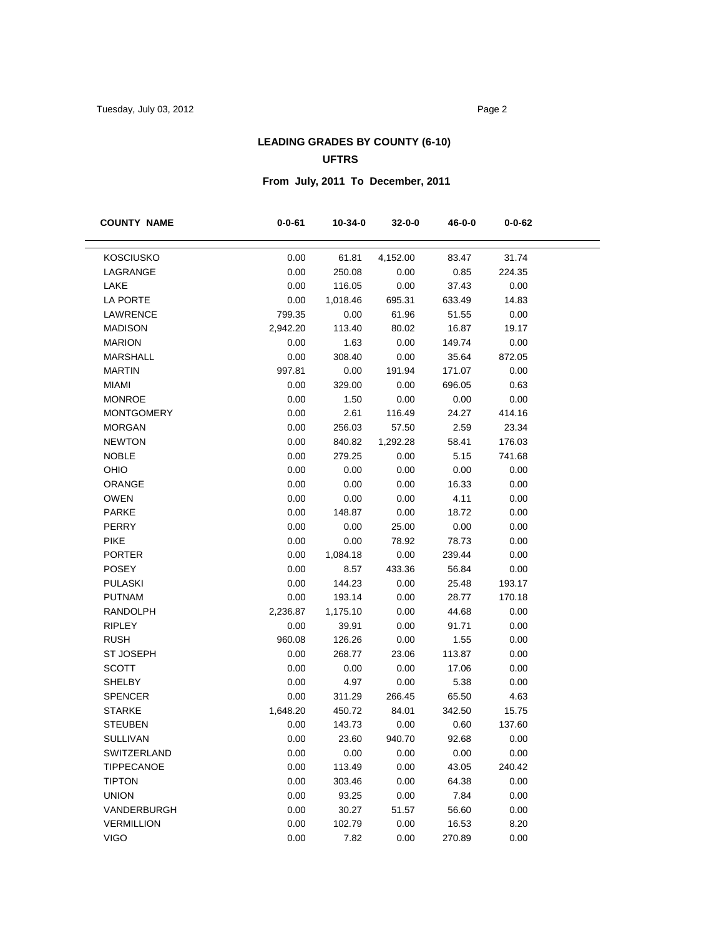# **LEADING GRADES BY COUNTY (6-10) UFTRS**

# **From July, 2011 To December, 2011**

| <b>COUNTY NAME</b> | $0 - 0 - 61$ | 10-34-0  | $32 - 0 - 0$ | 46-0-0 | $0 - 0 - 62$ |  |
|--------------------|--------------|----------|--------------|--------|--------------|--|
|                    |              |          |              |        |              |  |
| <b>KOSCIUSKO</b>   | 0.00         | 61.81    | 4,152.00     | 83.47  | 31.74        |  |
| LAGRANGE           | 0.00         | 250.08   | 0.00         | 0.85   | 224.35       |  |
| LAKE               | 0.00         | 116.05   | 0.00         | 37.43  | 0.00         |  |
| LA PORTE           | 0.00         | 1,018.46 | 695.31       | 633.49 | 14.83        |  |
| LAWRENCE           | 799.35       | 0.00     | 61.96        | 51.55  | 0.00         |  |
| <b>MADISON</b>     | 2,942.20     | 113.40   | 80.02        | 16.87  | 19.17        |  |
| <b>MARION</b>      | 0.00         | 1.63     | 0.00         | 149.74 | 0.00         |  |
| <b>MARSHALL</b>    | 0.00         | 308.40   | 0.00         | 35.64  | 872.05       |  |
| <b>MARTIN</b>      | 997.81       | 0.00     | 191.94       | 171.07 | 0.00         |  |
| <b>MIAMI</b>       | 0.00         | 329.00   | 0.00         | 696.05 | 0.63         |  |
| <b>MONROE</b>      | 0.00         | 1.50     | 0.00         | 0.00   | 0.00         |  |
| <b>MONTGOMERY</b>  | 0.00         | 2.61     | 116.49       | 24.27  | 414.16       |  |
| <b>MORGAN</b>      | 0.00         | 256.03   | 57.50        | 2.59   | 23.34        |  |
| <b>NEWTON</b>      | 0.00         | 840.82   | 1,292.28     | 58.41  | 176.03       |  |
| <b>NOBLE</b>       | 0.00         | 279.25   | 0.00         | 5.15   | 741.68       |  |
| OHIO               | 0.00         | 0.00     | 0.00         | 0.00   | 0.00         |  |
| ORANGE             | 0.00         | 0.00     | 0.00         | 16.33  | 0.00         |  |
| <b>OWEN</b>        | 0.00         | 0.00     | 0.00         | 4.11   | 0.00         |  |
| <b>PARKE</b>       | 0.00         | 148.87   | 0.00         | 18.72  | 0.00         |  |
| PERRY              | 0.00         | 0.00     | 25.00        | 0.00   | 0.00         |  |
| <b>PIKE</b>        | 0.00         | 0.00     | 78.92        | 78.73  | 0.00         |  |
| <b>PORTER</b>      | 0.00         | 1,084.18 | 0.00         | 239.44 | 0.00         |  |
| <b>POSEY</b>       | 0.00         | 8.57     | 433.36       | 56.84  | 0.00         |  |
| <b>PULASKI</b>     | 0.00         | 144.23   | 0.00         | 25.48  | 193.17       |  |
| <b>PUTNAM</b>      | 0.00         | 193.14   | 0.00         | 28.77  | 170.18       |  |
| <b>RANDOLPH</b>    | 2,236.87     | 1,175.10 | 0.00         | 44.68  | 0.00         |  |
| <b>RIPLEY</b>      | 0.00         | 39.91    | 0.00         | 91.71  | 0.00         |  |
| <b>RUSH</b>        | 960.08       | 126.26   | 0.00         | 1.55   | 0.00         |  |
| <b>ST JOSEPH</b>   | 0.00         | 268.77   | 23.06        | 113.87 | 0.00         |  |
| <b>SCOTT</b>       | 0.00         | 0.00     | 0.00         | 17.06  | 0.00         |  |
| <b>SHELBY</b>      | 0.00         | 4.97     | 0.00         | 5.38   | 0.00         |  |
| <b>SPENCER</b>     | 0.00         | 311.29   | 266.45       | 65.50  | 4.63         |  |
| <b>STARKE</b>      | 1,648.20     | 450.72   | 84.01        | 342.50 | 15.75        |  |
| <b>STEUBEN</b>     | 0.00         | 143.73   | 0.00         | 0.60   | 137.60       |  |
| <b>SULLIVAN</b>    | 0.00         | 23.60    | 940.70       | 92.68  | 0.00         |  |
| SWITZERLAND        | 0.00         | 0.00     | 0.00         | 0.00   | 0.00         |  |
| <b>TIPPECANOE</b>  | 0.00         | 113.49   | 0.00         | 43.05  | 240.42       |  |
| <b>TIPTON</b>      | 0.00         | 303.46   | 0.00         | 64.38  | 0.00         |  |
| <b>UNION</b>       | 0.00         | 93.25    | 0.00         | 7.84   | 0.00         |  |
| VANDERBURGH        | 0.00         | 30.27    | 51.57        | 56.60  | 0.00         |  |
| <b>VERMILLION</b>  | 0.00         | 102.79   | 0.00         | 16.53  | 8.20         |  |
| <b>VIGO</b>        | 0.00         | 7.82     | 0.00         | 270.89 | 0.00         |  |